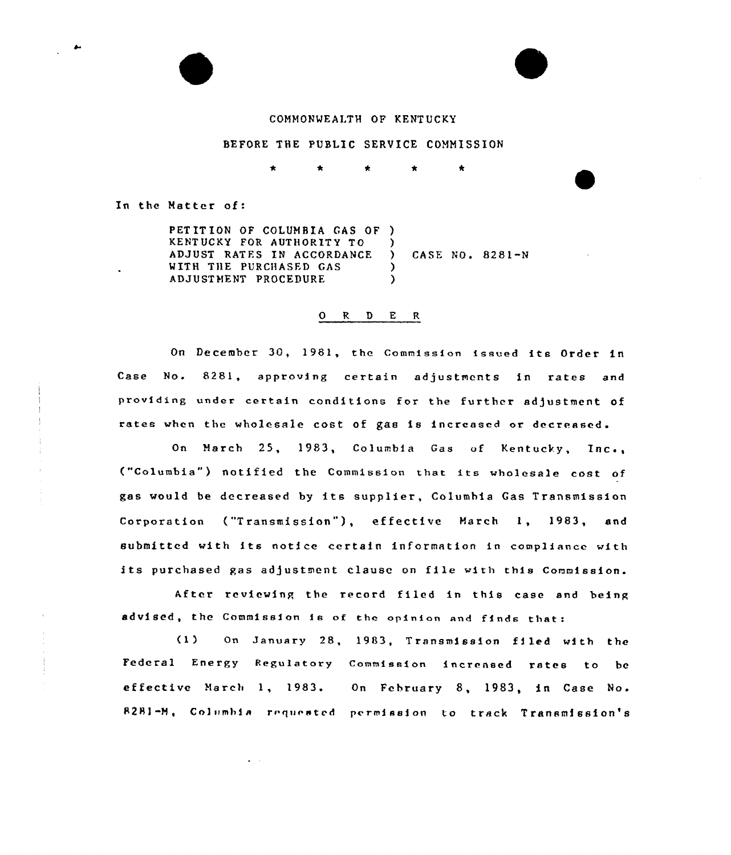# COMMONWEALTH OF KENTUCKY

#### BEFORE THE PUBLIC SERVICE COMMISSION

In the Matter of:

PETITION OF COLUMBIA GAS OF ) KENTUCKY FOR AUTHORITY TO ADJUST RATES IN ACCORDANCE WITH THE PURCHASED GAS ADJUSTMENT PROCEDURE  $\lambda$ ) CASE NO. 8281-N )  $\lambda$ 

#### 0 R <sup>D</sup> E <sup>R</sup>

On December 30, 1981, the Commission issued its Order in Case No. 8281, approving certain adjustments in rates and providing under certain conditions for the further adjustment of rates when the wholesale cost of gas is increased or decreased.

On March 25, 1983, Columbia Gas of Kentucky, Inc., ("Columbia") notified the Commission that its wholesale cost of gas would be decreased by its supplier, Columbia Gas Transmission Corporation ("Transmission"), effective March 1, 1983, and submitted with its notice certain information in compliance with its purchased gas adjustment clause on file with this Commission.

After reviewing the record filed in this case and being advised, the Commission is of the opinion and finds that:

(1) On January 28, 1983, Transmission filed with the Federal Energy Regulatory Commission increased rates to be effective March 1, 1983. On February 8, 1983, in Case No. 8281-M, Columbia requested permission to track Transmission's

 $\bullet$  . <br> <br> <br> $\bullet$  .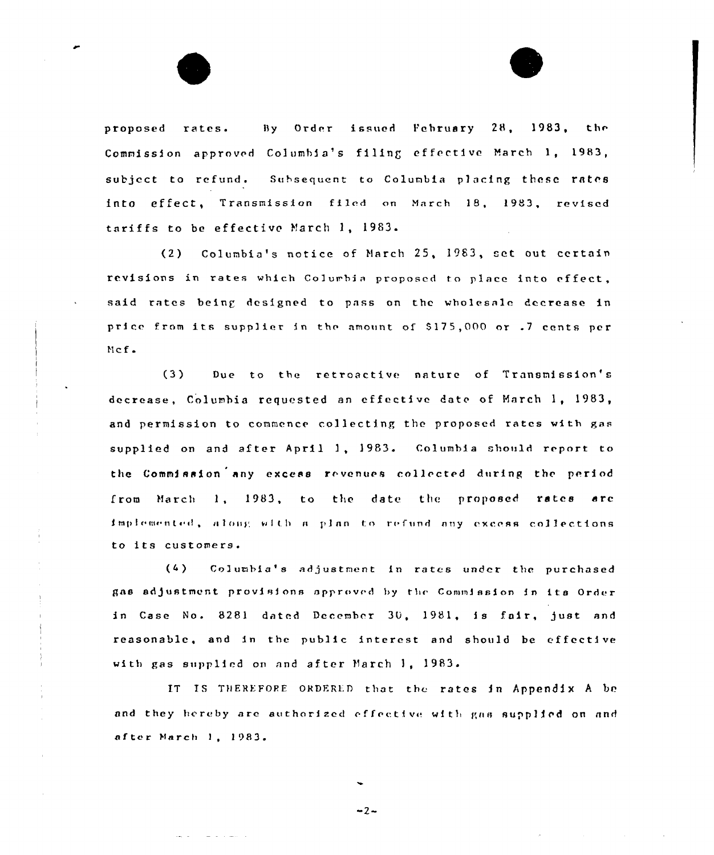By Order issued February 28, 1983, the proposed rates. Commission approved Columbia's filing effective March 1, 1983, subject to refund. Subsequent to Columbia placing these rates into effect, Transmission filed on March 18, 1983, revised tariffs to be effective March 1, 1983.

Columbia's notice of March 25, 1983, set out certain  $(2)$ revisions in rates which Columbia proposed to place into effect, said rates being designed to pass on the wholesale decrease in price from its supplier in the amount of \$175,000 or .7 cents per  $Mcf$ .

 $(3)$ Due to the retroactive nature of Transmission's decrease. Columbia requested an effective date of March 1, 1983, and permission to commence collecting the proposed rates with gas supplied on and after April 1, 1983. Columbia should report to the Commission any excess revenues collected during the period from March 1, 1983, to the date the proposed rates are implemented, along with a plan to refund any excess collections to its customers.

Columbia's adjustment in rates under the purchased  $(4)$ gas adjustment provisions approved by the Commission in its Order in Case No. 8281 dated December 30, 1981, is fair, just and reasonable, and in the public interest and should be effective with gas supplied on and after March 1, 1983.

IT IS THEREFORE ORDERED that the rates in Appendix A be and they hereby are authorized effective with gas supplied on and after March 1, 1983.

 $-2-$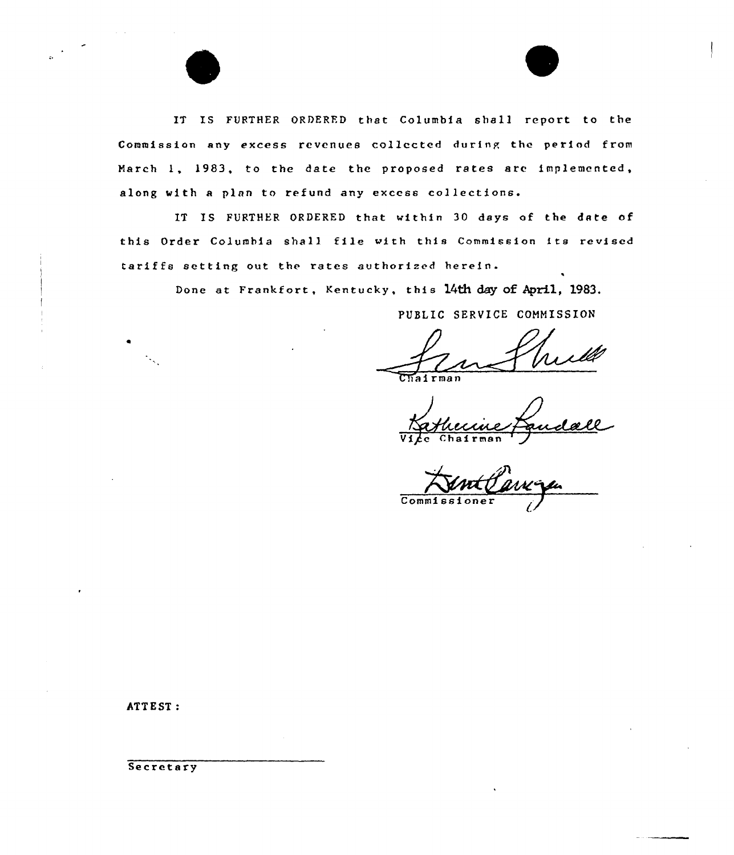IT IS FURTHER ORDERFD that Columbia shall report to the Commission any excess revenues collected during the period from March l, 1983, to the date the proposed rates are implemented, along with <sup>a</sup> plan to refund any excess collections.

IT IS FURTHER ORDERED that within 30 days of the date of this Order Columbia shall file with this Commission its revised tariffs setting out the rates authorized herein.

Done at Frankfort, Kentucky, this 14th day of April, 1983.

PUBLIC SERVICE COMMISSION

Vice Chairman

 $\overline{\text{Comm1}}$ 

ATTEST:

Secretary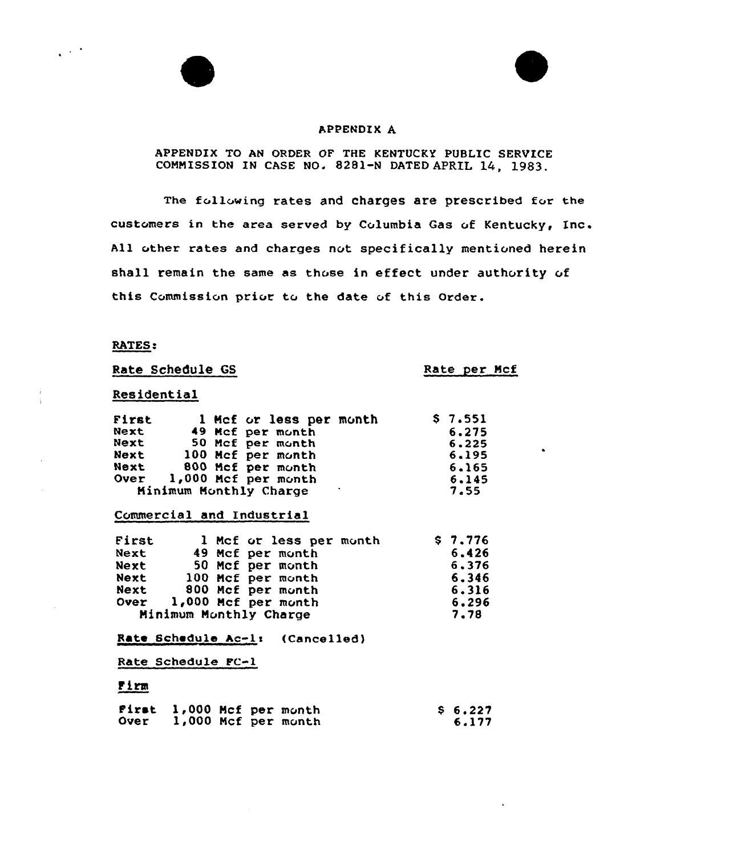## APPENDIX A

# APPENDIX TO AN ORDER OF THE KENTUCKY PUBLIC SERVICE COMMISSION IN CASE NO. 8281-N DATED APRIL 14, 1983.

The following rates and charges are prescribed for the customers in the area served by Columbia Gas of Kentucky, Inc. All other rates and charges not specifically mentioned herein shall remain the same as those in effect under authority of this Commission prior to the date of this Order.

## RATES:

 $\mathcal{L}^{(1)}$ 

Rate Schedule GS

Rate per Ncf

 $\bullet$ 

# Residential

| First       |  | 1 Mcf or less per month | \$7.551 |
|-------------|--|-------------------------|---------|
| Next        |  | 49 Mcf per month        | 6.275   |
| Next        |  | 50 Mcf per month        | 6,225   |
| Next        |  | 100 Mcf per month       | 6.195   |
| Next        |  | 800 Mcf per month       | 6.165   |
| <b>Over</b> |  | 1,000 Mcf per month     | 6.145   |
|             |  | Minimum Monthly Charge  | 7.55    |

### Commercial and Industrial

| First                  |  |  | 1 Mcf or less per month | \$7.776 |
|------------------------|--|--|-------------------------|---------|
| Next                   |  |  | 49 Mcf per month        | 6,426   |
| Next                   |  |  | 50 Mcf per month        | 6,376   |
| Next                   |  |  | 100 Mcf per month       | 6.346   |
| Next                   |  |  | 800 Mcf per month       | 6.316   |
| Over                   |  |  | 1,000 Mcf per month     | 6.296   |
| Minimum Monthly Charge |  |  |                         | 7.78    |

Rate Schedule Ac-1: (Cancelled)

Rate Schedule PC-l

# <u>Firm</u>

| Over 1,000 Mcf per month |  | First 1,000 Mcf per month |  |  |  |  | \$6.227<br>6.177 |
|--------------------------|--|---------------------------|--|--|--|--|------------------|
|--------------------------|--|---------------------------|--|--|--|--|------------------|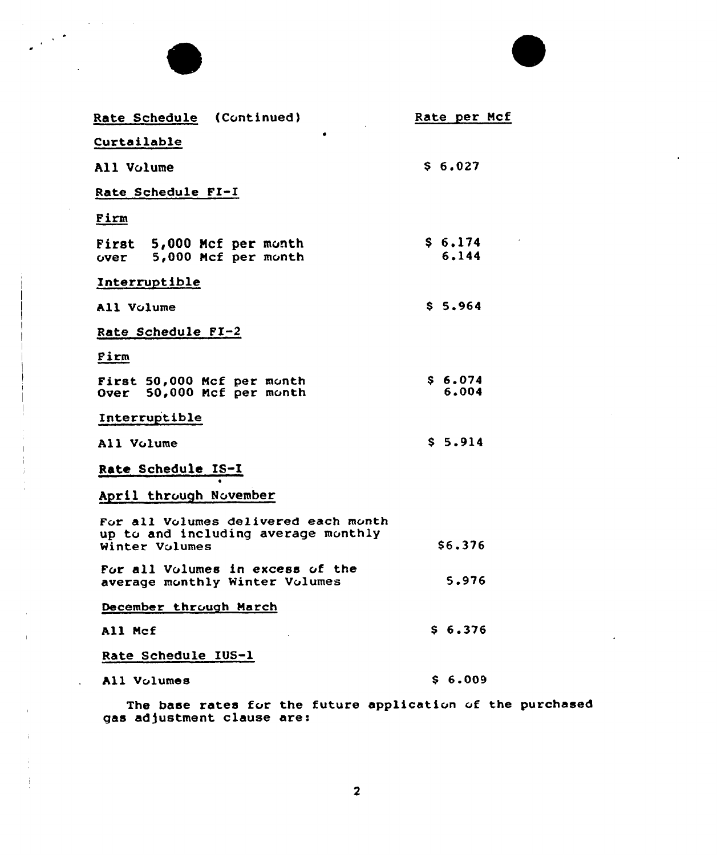| Rate Schedule (Continued)                                                                     | Rate per Mcf                |
|-----------------------------------------------------------------------------------------------|-----------------------------|
| Curtailable                                                                                   |                             |
| All Volume                                                                                    | S <sub>6.027</sub>          |
| Rate Schedule FI-I                                                                            |                             |
| Firm                                                                                          |                             |
| First 5,000 Mcf per month<br>over 5,000 Mcf per month                                         | \$6.174<br>6.144            |
| Interruptible                                                                                 |                             |
| All Volume                                                                                    | \$5.964                     |
| Rate Schedule FI-2                                                                            |                             |
| Firm                                                                                          |                             |
| First 50,000 Mcf per month<br>Over 50,000 Mcf per month                                       | S <sub>6.074</sub><br>6,004 |
| Interruptible                                                                                 |                             |
| All Volume                                                                                    | S <sub>5.914</sub>          |
| Rate Schedule IS-I                                                                            |                             |
| April through November                                                                        |                             |
| For all Volumes delivered each month<br>up to and including average monthly<br>Winter Volumes | \$6.376                     |
| For all Volumes in excess of the<br>average monthly Winter Volumes                            | 5.976                       |
| December through March                                                                        |                             |
| All Mcf                                                                                       | \$6.376                     |
| Rate Schedule IUS-1                                                                           |                             |
| All Volumes                                                                                   | S <sub>6.009</sub>          |

The base rates for the future application of the purchase as adjustment clause are: